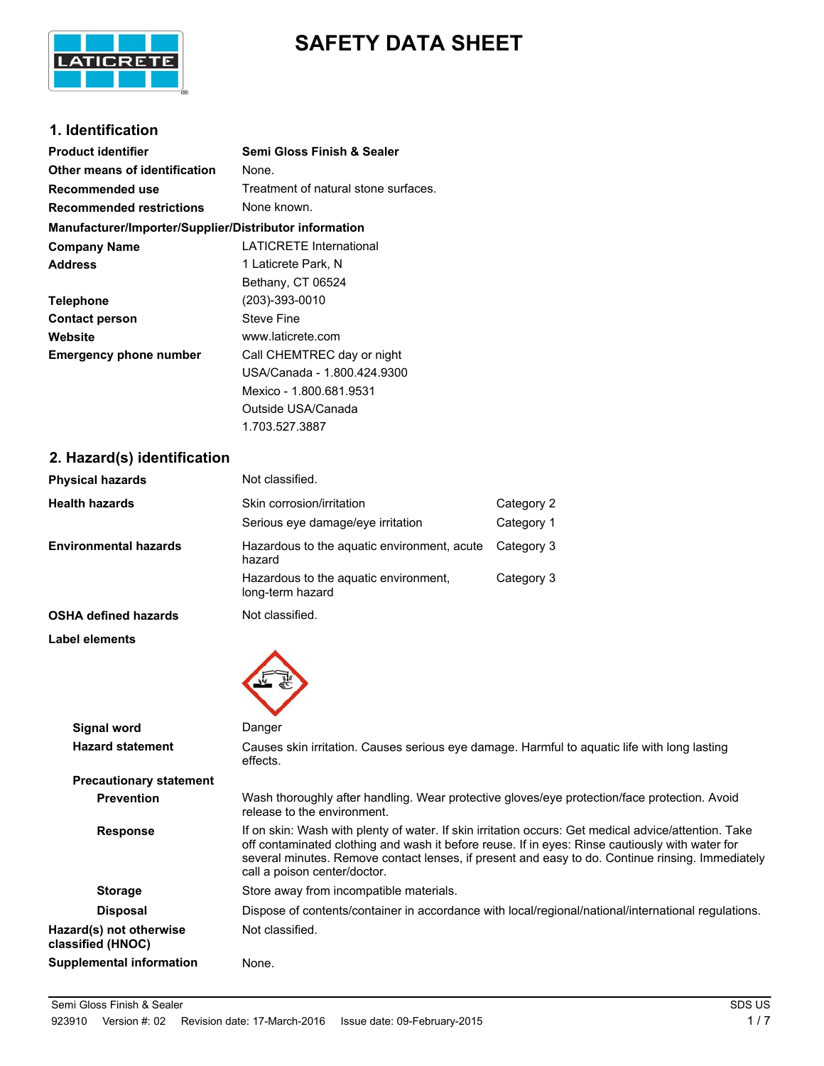

# **SAFETY DATA SHEET**

## **1. Identification**

| <b>Product identifier</b>                              | Semi Gloss Finish & Sealer           |  |  |
|--------------------------------------------------------|--------------------------------------|--|--|
| Other means of identification                          | None.                                |  |  |
| Recommended use                                        | Treatment of natural stone surfaces. |  |  |
| <b>Recommended restrictions</b>                        | None known.                          |  |  |
| Manufacturer/Importer/Supplier/Distributor information |                                      |  |  |
| <b>Company Name</b>                                    | <b>LATICRETE International</b>       |  |  |
| <b>Address</b>                                         | 1 Laticrete Park, N                  |  |  |
|                                                        | Bethany, CT 06524                    |  |  |
| <b>Telephone</b>                                       | (203)-393-0010                       |  |  |
| <b>Contact person</b>                                  | Steve Fine                           |  |  |
| Website                                                | www.laticrete.com                    |  |  |
| <b>Emergency phone number</b>                          | Call CHEMTREC day or night           |  |  |
|                                                        | USA/Canada - 1.800.424.9300          |  |  |
|                                                        | Mexico - 1.800.681.9531              |  |  |
|                                                        | Outside USA/Canada                   |  |  |

1.703.527.3887

### **2. Hazard(s) identification**

| <b>Physical hazards</b>        | Not classified.                                                                                                             |                                                                                                     |
|--------------------------------|-----------------------------------------------------------------------------------------------------------------------------|-----------------------------------------------------------------------------------------------------|
| Health hazards                 | Skin corrosion/irritation                                                                                                   | Category 2                                                                                          |
|                                | Serious eye damage/eye irritation                                                                                           | Category 1                                                                                          |
| <b>Environmental hazards</b>   | Hazardous to the aquatic environment, acute<br>hazard                                                                       | Category 3                                                                                          |
|                                | Hazardous to the aquatic environment,<br>long-term hazard                                                                   | Category 3                                                                                          |
| <b>OSHA defined hazards</b>    | Not classified.                                                                                                             |                                                                                                     |
| Label elements                 |                                                                                                                             |                                                                                                     |
|                                |                                                                                                                             |                                                                                                     |
| Signal word                    | Danger                                                                                                                      |                                                                                                     |
| <b>Hazard statement</b>        | Causes skin irritation. Causes serious eye damage. Harmful to aquatic life with long lasting<br>effects.                    |                                                                                                     |
| <b>Precautionary statement</b> |                                                                                                                             |                                                                                                     |
| <b>Prevention</b>              | Wash thoroughly after handling. Wear protective gloves/eye protection/face protection. Avoid<br>release to the environment. |                                                                                                     |
| <b>Desperant</b>               |                                                                                                                             | If an akin: Waah with planty of water. If akin irritation agains: Cat modiaal advisalattention. Tol |

Response **If on skin: Wash with plenty of water. If skin irritation occurs: Get medical advice/attention. Take** off contaminated clothing and wash it before reuse. If in eyes: Rinse cautiously with water for several minutes. Remove contact lenses, if present and easy to do. Continue rinsing. Immediately call a poison center/doctor. **Storage** Store away from incompatible materials. Disposal Dispose of contents/container in accordance with local/regional/national/international regulations. **Hazard(s) not otherwise classified (HNOC)** Not classified.

**Supplemental information** None.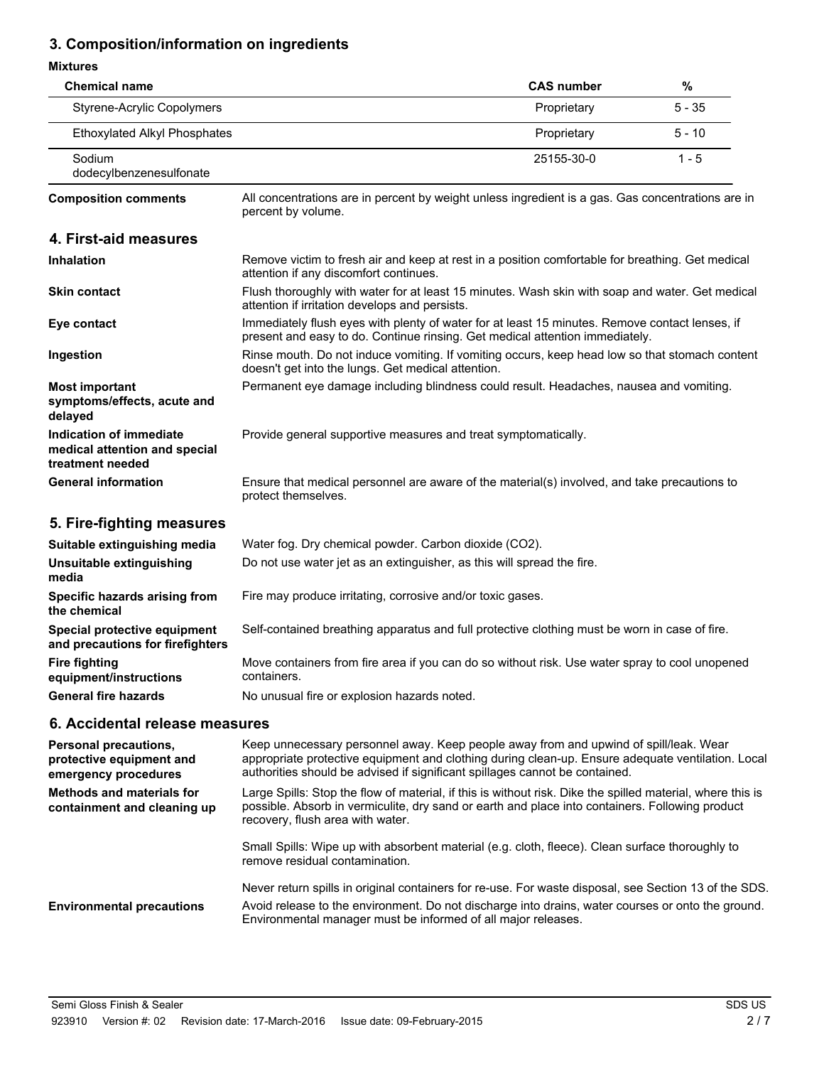# **3. Composition/information on ingredients**

#### **Mixtures**

| <b>Chemical name</b>                                                                |                                                                                                                                                                                | <b>CAS number</b> | $\%$     |
|-------------------------------------------------------------------------------------|--------------------------------------------------------------------------------------------------------------------------------------------------------------------------------|-------------------|----------|
| <b>Styrene-Acrylic Copolymers</b>                                                   |                                                                                                                                                                                | Proprietary       | $5 - 35$ |
| <b>Ethoxylated Alkyl Phosphates</b>                                                 |                                                                                                                                                                                | Proprietary       | $5 - 10$ |
| Sodium<br>dodecylbenzenesulfonate                                                   |                                                                                                                                                                                | 25155-30-0        | $1 - 5$  |
| <b>Composition comments</b>                                                         | All concentrations are in percent by weight unless ingredient is a gas. Gas concentrations are in<br>percent by volume.                                                        |                   |          |
| 4. First-aid measures                                                               |                                                                                                                                                                                |                   |          |
| <b>Inhalation</b>                                                                   | Remove victim to fresh air and keep at rest in a position comfortable for breathing. Get medical<br>attention if any discomfort continues.                                     |                   |          |
| <b>Skin contact</b>                                                                 | Flush thoroughly with water for at least 15 minutes. Wash skin with soap and water. Get medical<br>attention if irritation develops and persists.                              |                   |          |
| Eye contact                                                                         | Immediately flush eyes with plenty of water for at least 15 minutes. Remove contact lenses, if<br>present and easy to do. Continue rinsing. Get medical attention immediately. |                   |          |
| Ingestion                                                                           | Rinse mouth. Do not induce vomiting. If vomiting occurs, keep head low so that stomach content<br>doesn't get into the lungs. Get medical attention.                           |                   |          |
| <b>Most important</b><br>symptoms/effects, acute and<br>delayed                     | Permanent eye damage including blindness could result. Headaches, nausea and vomiting.                                                                                         |                   |          |
| <b>Indication of immediate</b><br>medical attention and special<br>treatment needed | Provide general supportive measures and treat symptomatically.                                                                                                                 |                   |          |
| <b>General information</b>                                                          | Ensure that medical personnel are aware of the material(s) involved, and take precautions to<br>protect themselves.                                                            |                   |          |
| 5. Fire-fighting measures                                                           |                                                                                                                                                                                |                   |          |
| Suitable extinguishing media                                                        | Water fog. Dry chemical powder. Carbon dioxide (CO2).                                                                                                                          |                   |          |
| Unsuitable extinguishing<br>media                                                   | Do not use water jet as an extinguisher, as this will spread the fire.                                                                                                         |                   |          |
| Specific hazards arising from<br>the chemical                                       | Fire may produce irritating, corrosive and/or toxic gases.                                                                                                                     |                   |          |
| Special protective equipment<br>and precautions for firefighters                    | Self-contained breathing apparatus and full protective clothing must be worn in case of fire.                                                                                  |                   |          |
| <b>Fire fighting</b><br>equipment/instructions                                      | Move containers from fire area if you can do so without risk. Use water spray to cool unopened<br>containers.                                                                  |                   |          |
| <b>General fire hazards</b>                                                         | No unusual fire or explosion hazards noted.                                                                                                                                    |                   |          |

### **6. Accidental release measures**

| <b>Personal precautions,</b><br>protective equipment and<br>emergency procedures | Keep unnecessary personnel away. Keep people away from and upwind of spill/leak. Wear<br>appropriate protective equipment and clothing during clean-up. Ensure adequate ventilation. Local<br>authorities should be advised if significant spillages cannot be contained.   |
|----------------------------------------------------------------------------------|-----------------------------------------------------------------------------------------------------------------------------------------------------------------------------------------------------------------------------------------------------------------------------|
| <b>Methods and materials for</b><br>containment and cleaning up                  | Large Spills: Stop the flow of material, if this is without risk. Dike the spilled material, where this is<br>possible. Absorb in vermiculite, dry sand or earth and place into containers. Following product<br>recovery, flush area with water.                           |
|                                                                                  | Small Spills: Wipe up with absorbent material (e.g. cloth, fleece). Clean surface thoroughly to<br>remove residual contamination.                                                                                                                                           |
| <b>Environmental precautions</b>                                                 | Never return spills in original containers for re-use. For waste disposal, see Section 13 of the SDS.<br>Avoid release to the environment. Do not discharge into drains, water courses or onto the ground.<br>Environmental manager must be informed of all major releases. |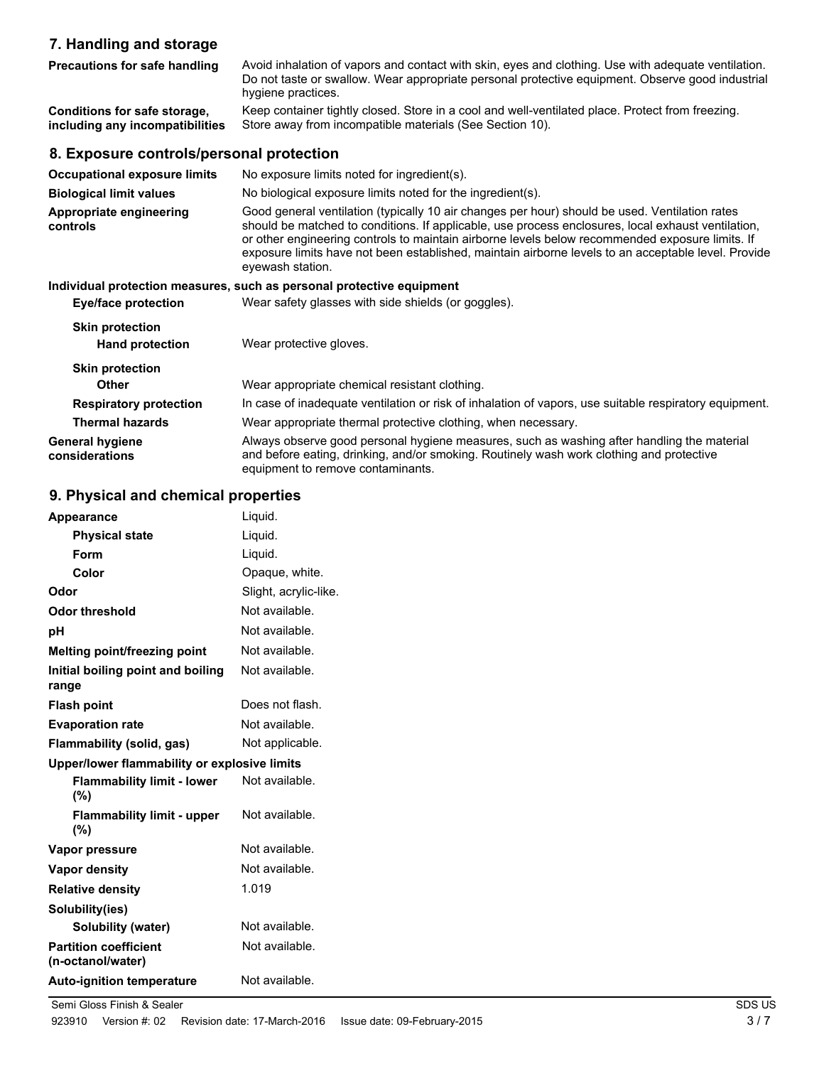# **7. Handling and storage**

| <b>Precautions for safe handling</b>                            | Avoid inhalation of vapors and contact with skin, eyes and clothing. Use with adequate ventilation.<br>Do not taste or swallow. Wear appropriate personal protective equipment. Observe good industrial<br>hygiene practices. |
|-----------------------------------------------------------------|-------------------------------------------------------------------------------------------------------------------------------------------------------------------------------------------------------------------------------|
| Conditions for safe storage,<br>including any incompatibilities | Keep container tightly closed. Store in a cool and well-ventilated place. Protect from freezing.<br>Store away from incompatible materials (See Section 10).                                                                  |
| 8. Exposure controls/personal protection                        |                                                                                                                                                                                                                               |
| <b>Occupational exposure limits</b>                             | No exposure limits noted for ingredient(s).                                                                                                                                                                                   |
| <b>Biological limit values</b>                                  | No biological exposure limits noted for the ingredient(s).                                                                                                                                                                    |
| Appropriate engineering<br>controls                             | Good general ventilation (typically 10 air changes per hour) should be used. Ventilation rates<br>should be matched to conditions. If applicable, use process enclosures, local exhaust ventilation,                          |

or other engineering controls to maintain airborne levels below recommended exposure limits. If exposure limits have not been established, maintain airborne levels to an acceptable level. Provide eyewash station.

#### **Individual protection measures, such as personal protective equipment**

**Eye/face protection** Wear safety glasses with side shields (or goggles).

| <b>Skin protection</b><br><b>Hand protection</b> | Wear protective gloves.                                                                                                                                                                                                     |
|--------------------------------------------------|-----------------------------------------------------------------------------------------------------------------------------------------------------------------------------------------------------------------------------|
| <b>Skin protection</b>                           |                                                                                                                                                                                                                             |
| <b>Other</b>                                     | Wear appropriate chemical resistant clothing.                                                                                                                                                                               |
| <b>Respiratory protection</b>                    | In case of inadequate ventilation or risk of inhalation of vapors, use suitable respiratory equipment.                                                                                                                      |
| <b>Thermal hazards</b>                           | Wear appropriate thermal protective clothing, when necessary.                                                                                                                                                               |
| General hygiene<br>considerations                | Always observe good personal hygiene measures, such as washing after handling the material<br>and before eating, drinking, and/or smoking. Routinely wash work clothing and protective<br>equipment to remove contaminants. |

## **9. Physical and chemical properties**

| Appearance                                        | Liquid.               |
|---------------------------------------------------|-----------------------|
| <b>Physical state</b>                             | Liquid.               |
| Form                                              | Liquid.               |
| Color                                             | Opaque, white.        |
| Odor                                              | Slight, acrylic-like. |
| <b>Odor threshold</b>                             | Not available.        |
| рH                                                | Not available.        |
| Melting point/freezing point                      | Not available.        |
| Initial boiling point and boiling<br>range        | Not available.        |
| <b>Flash point</b>                                | Does not flash.       |
| <b>Evaporation rate</b>                           | Not available.        |
| Flammability (solid, gas)                         | Not applicable.       |
| Upper/lower flammability or explosive limits      |                       |
| <b>Flammability limit - lower</b><br>$(\%)$       | Not available.        |
| <b>Flammability limit - upper</b><br>(%)          | Not available.        |
| Vapor pressure                                    | Not available.        |
| <b>Vapor density</b>                              | Not available.        |
| <b>Relative density</b>                           | 1.019                 |
| Solubility(ies)                                   |                       |
| <b>Solubility (water)</b>                         | Not available.        |
| <b>Partition coefficient</b><br>(n-octanol/water) | Not available.        |
| <b>Auto-ignition temperature</b>                  | Not available.        |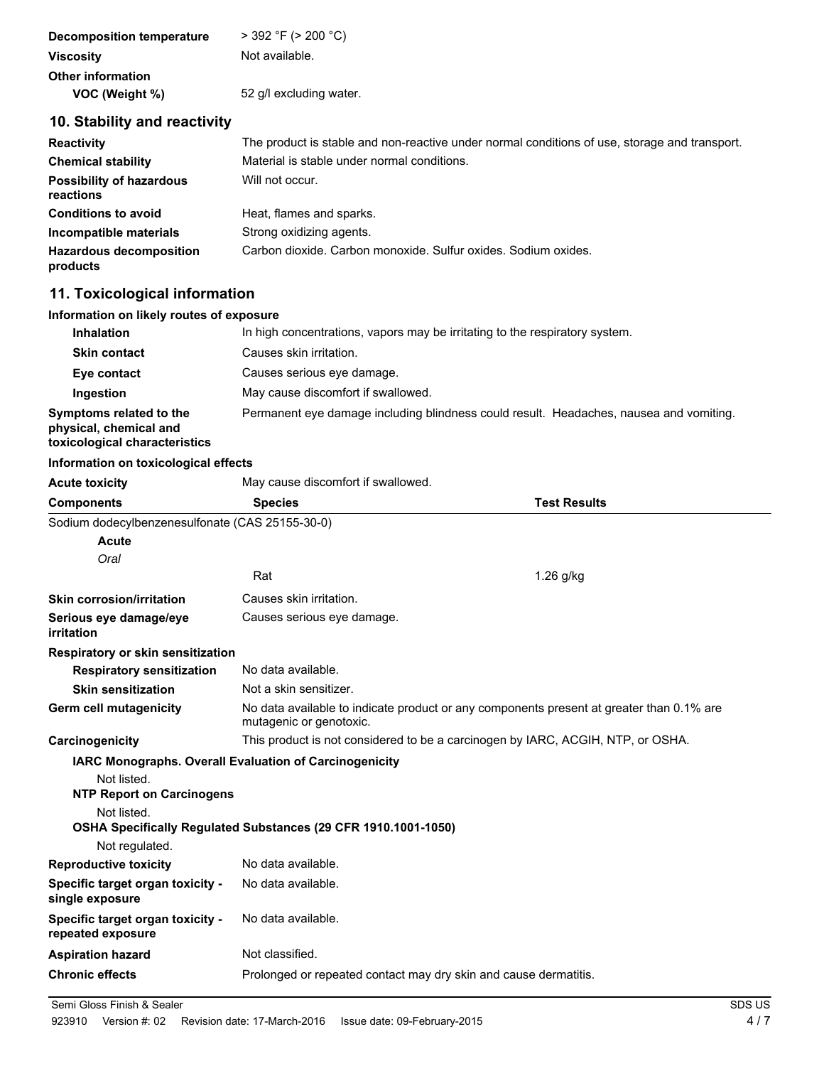| Decomposition temperature | $>$ 392 °F ( $>$ 200 °C) |
|---------------------------|--------------------------|
| <b>Viscosity</b>          | Not available.           |
| <b>Other information</b>  |                          |
| VOC (Weight %)            | 52 g/l excluding water.  |

# **10. Stability and reactivity**

| <b>Reactivity</b>                            | The product is stable and non-reactive under normal conditions of use, storage and transport. |
|----------------------------------------------|-----------------------------------------------------------------------------------------------|
| <b>Chemical stability</b>                    | Material is stable under normal conditions.                                                   |
| <b>Possibility of hazardous</b><br>reactions | Will not occur.                                                                               |
| <b>Conditions to avoid</b>                   | Heat, flames and sparks.                                                                      |
| Incompatible materials                       | Strong oxidizing agents.                                                                      |
| <b>Hazardous decomposition</b><br>products   | Carbon dioxide. Carbon monoxide. Sulfur oxides. Sodium oxides.                                |

# **11. Toxicological information**

| Information on likely routes of exposure                                           |                                                                                        |                     |
|------------------------------------------------------------------------------------|----------------------------------------------------------------------------------------|---------------------|
| <b>Inhalation</b>                                                                  | In high concentrations, vapors may be irritating to the respiratory system.            |                     |
| <b>Skin contact</b>                                                                | Causes skin irritation.                                                                |                     |
| Eye contact                                                                        | Causes serious eye damage.                                                             |                     |
| Ingestion                                                                          | May cause discomfort if swallowed.                                                     |                     |
| Symptoms related to the<br>physical, chemical and<br>toxicological characteristics | Permanent eye damage including blindness could result. Headaches, nausea and vomiting. |                     |
| Information on toxicological effects                                               |                                                                                        |                     |
| <b>Acute toxicity</b>                                                              | May cause discomfort if swallowed.                                                     |                     |
| <b>Components</b>                                                                  | <b>Species</b>                                                                         | <b>Test Results</b> |
| Sodium dodecylbenzenesulfonate (CAS 25155-30-0)                                    |                                                                                        |                     |
| Acute                                                                              |                                                                                        |                     |
| Oral                                                                               |                                                                                        |                     |
|                                                                                    | Rat                                                                                    | $1.26$ g/kg         |
| <b>Skin corrosion/irritation</b>                                                   | Causes skin irritation.                                                                |                     |
| Serious eye damage/eye<br>irritation                                               | Causes serious eye damage.                                                             |                     |
| Respiratory or skin sensitization                                                  |                                                                                        |                     |

| <b>Respiratory sensitization</b>                      | No data available.                                                                                                  |
|-------------------------------------------------------|---------------------------------------------------------------------------------------------------------------------|
| <b>Skin sensitization</b>                             | Not a skin sensitizer.                                                                                              |
| <b>Germ cell mutagenicity</b>                         | No data available to indicate product or any components present at greater than 0.1% are<br>mutagenic or genotoxic. |
| Carcinogenicity                                       | This product is not considered to be a carcinogen by IARC, ACGIH, NTP, or OSHA.                                     |
|                                                       | <b>IARC Monographs. Overall Evaluation of Carcinogenicity</b>                                                       |
| Not listed.                                           |                                                                                                                     |
| <b>NTP Report on Carcinogens</b>                      |                                                                                                                     |
| Not listed.                                           |                                                                                                                     |
|                                                       | <b>OSHA Specifically Regulated Substances (29 CFR 1910.1001-1050)</b>                                               |
| Not regulated.                                        |                                                                                                                     |
| <b>Reproductive toxicity</b>                          | No data available.                                                                                                  |
| Specific target organ toxicity -<br>single exposure   | No data available.                                                                                                  |
| Specific target organ toxicity -<br>repeated exposure | No data available.                                                                                                  |
| <b>Aspiration hazard</b>                              | Not classified.                                                                                                     |

**Chronic effects** Prolonged or repeated contact may dry skin and cause dermatitis.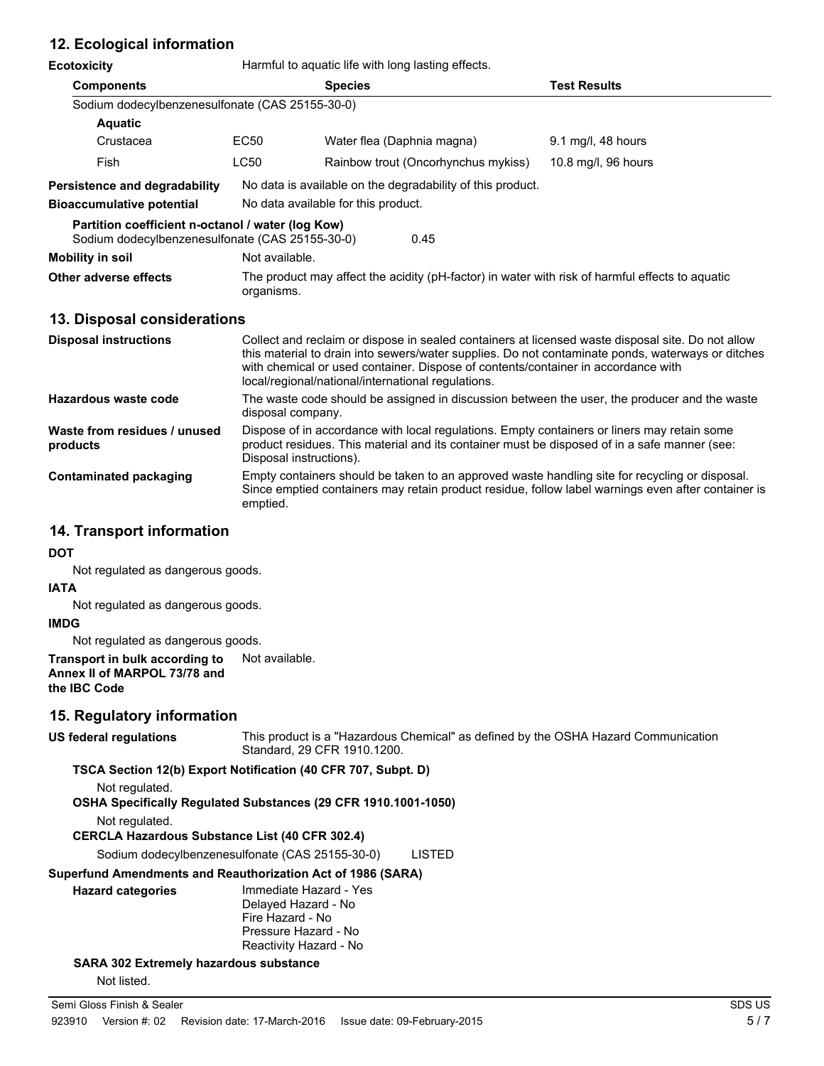# **12. Ecological information**

| Ecotoxicity | Harmful to aquatic life with long lasting effects. |
|-------------|----------------------------------------------------|
|-------------|----------------------------------------------------|

| ECOLOXICITY                                                                                          | Harmor to aquatic life with long lasting effects.                                                                                                                                                                                                                                                                                                 |                                     |                     |  |  |
|------------------------------------------------------------------------------------------------------|---------------------------------------------------------------------------------------------------------------------------------------------------------------------------------------------------------------------------------------------------------------------------------------------------------------------------------------------------|-------------------------------------|---------------------|--|--|
| <b>Components</b>                                                                                    |                                                                                                                                                                                                                                                                                                                                                   | <b>Species</b>                      | <b>Test Results</b> |  |  |
| Sodium dodecylbenzenesulfonate (CAS 25155-30-0)                                                      |                                                                                                                                                                                                                                                                                                                                                   |                                     |                     |  |  |
| <b>Aquatic</b>                                                                                       |                                                                                                                                                                                                                                                                                                                                                   |                                     |                     |  |  |
| Crustacea                                                                                            | EC50                                                                                                                                                                                                                                                                                                                                              | Water flea (Daphnia magna)          | 9.1 mg/l, 48 hours  |  |  |
| Fish                                                                                                 | LC50                                                                                                                                                                                                                                                                                                                                              | Rainbow trout (Oncorhynchus mykiss) | 10.8 mg/l, 96 hours |  |  |
| Persistence and degradability                                                                        | No data is available on the degradability of this product.                                                                                                                                                                                                                                                                                        |                                     |                     |  |  |
| <b>Bioaccumulative potential</b>                                                                     |                                                                                                                                                                                                                                                                                                                                                   | No data available for this product. |                     |  |  |
| Partition coefficient n-octanol / water (log Kow)<br>Sodium dodecylbenzenesulfonate (CAS 25155-30-0) |                                                                                                                                                                                                                                                                                                                                                   | 0.45                                |                     |  |  |
| Mobility in soil                                                                                     | Not available.                                                                                                                                                                                                                                                                                                                                    |                                     |                     |  |  |
| Other adverse effects                                                                                | The product may affect the acidity (pH-factor) in water with risk of harmful effects to aquatic<br>organisms.                                                                                                                                                                                                                                     |                                     |                     |  |  |
| 13. Disposal considerations                                                                          |                                                                                                                                                                                                                                                                                                                                                   |                                     |                     |  |  |
| <b>Disposal instructions</b>                                                                         | Collect and reclaim or dispose in sealed containers at licensed waste disposal site. Do not allow<br>this material to drain into sewers/water supplies. Do not contaminate ponds, waterways or ditches<br>with chemical or used container. Dispose of contents/container in accordance with<br>local/regional/national/international regulations. |                                     |                     |  |  |
| Hazardous waste code                                                                                 | The waste code should be assigned in discussion between the user, the producer and the waste<br>disposal company.                                                                                                                                                                                                                                 |                                     |                     |  |  |
| Waste from residues / unused<br>products                                                             | Dispose of in accordance with local regulations. Empty containers or liners may retain some<br>product residues. This material and its container must be disposed of in a safe manner (see:<br>Disposal instructions).                                                                                                                            |                                     |                     |  |  |

Empty containers should be taken to an approved waste handling site for recycling or disposal. Since emptied containers may retain product residue, follow label warnings even after container is emptied. **Contaminated packaging**

#### **14. Transport information**

#### **DOT**

Not regulated as dangerous goods.

#### **IATA**

Not regulated as dangerous goods.

#### **IMDG**

Not regulated as dangerous goods.

### **Transport in bulk according to** Not available. **Annex II of MARPOL 73/78 and**

**the IBC Code**

### **15. Regulatory information**

#### **US federal regulations**

This product is a "Hazardous Chemical" as defined by the OSHA Hazard Communication Standard, 29 CFR 1910.1200.

#### **TSCA Section 12(b) Export Notification (40 CFR 707, Subpt. D)**

Not regulated.

**OSHA Specifically Regulated Substances (29 CFR 1910.1001-1050)**

Not regulated.

**CERCLA Hazardous Substance List (40 CFR 302.4)**

Sodium dodecylbenzenesulfonate (CAS 25155-30-0) LISTED

#### **Superfund Amendments and Reauthorization Act of 1986 (SARA)**

| <b>Hazard categories</b> | Immediate Hazard - Yes |
|--------------------------|------------------------|
|                          | Delayed Hazard - No    |
|                          | Fire Hazard - No       |
|                          | Pressure Hazard - No   |
|                          | Reactivity Hazard - No |
|                          |                        |

**SARA 302 Extremely hazardous substance**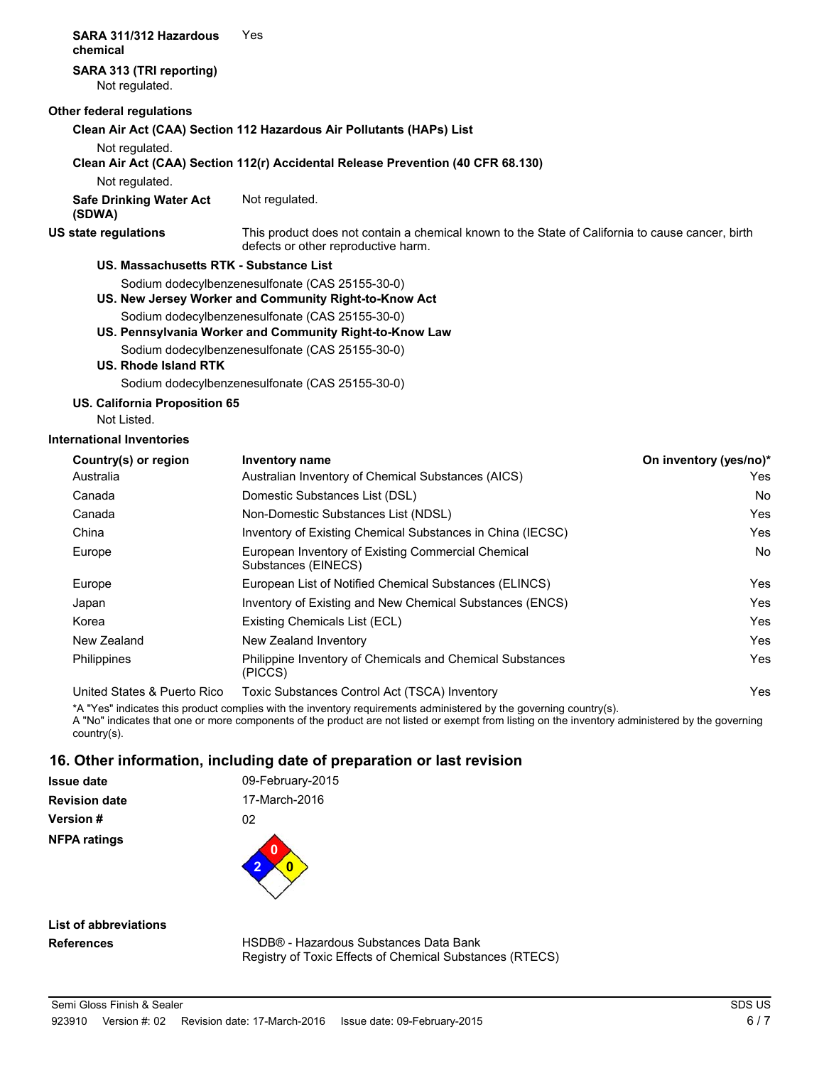### **SARA 311/312 Hazardous** Yes **chemical SARA 313 (TRI reporting)** Not regulated. **Other federal regulations Clean Air Act (CAA) Section 112 Hazardous Air Pollutants (HAPs) List** Not regulated. **Clean Air Act (CAA) Section 112(r) Accidental Release Prevention (40 CFR 68.130)** Not regulated. **Safe Drinking Water Act** Not regulated. **(SDWA)** This product does not contain a chemical known to the State of California to cause cancer, birth defects or other reproductive harm. **US state regulations US. Massachusetts RTK - Substance List** Sodium dodecylbenzenesulfonate (CAS 25155-30-0) **US. New Jersey Worker and Community Right-to-Know Act** Sodium dodecylbenzenesulfonate (CAS 25155-30-0) **US. Pennsylvania Worker and Community Right-to-Know Law** Sodium dodecylbenzenesulfonate (CAS 25155-30-0) **US. Rhode Island RTK** Sodium dodecylbenzenesulfonate (CAS 25155-30-0) **US. California Proposition 65** Not Listed. **International Inventories** Country(s) or region Inventory name **Country in the Country of Country (yes/no**)<sup>\*</sup> Australia Australian Inventory of Chemical Substances (AICS) Yes

| Australia                   | Australian Inventory of Chemical Substances (AICS)                        | Yes |
|-----------------------------|---------------------------------------------------------------------------|-----|
| Canada                      | Domestic Substances List (DSL)                                            | No  |
| Canada                      | Non-Domestic Substances List (NDSL)                                       | Yes |
| China                       | Inventory of Existing Chemical Substances in China (IECSC)                | Yes |
| Europe                      | European Inventory of Existing Commercial Chemical<br>Substances (EINECS) | No  |
| Europe                      | European List of Notified Chemical Substances (ELINCS)                    | Yes |
| Japan                       | Inventory of Existing and New Chemical Substances (ENCS)                  | Yes |
| Korea                       | Existing Chemicals List (ECL)                                             | Yes |
| New Zealand                 | New Zealand Inventory                                                     | Yes |
| <b>Philippines</b>          | Philippine Inventory of Chemicals and Chemical Substances<br>(PICCS)      | Yes |
| United States & Puerto Rico | Toxic Substances Control Act (TSCA) Inventory                             | Yes |

\*A "Yes" indicates this product complies with the inventory requirements administered by the governing country(s).

A "No" indicates that one or more components of the product are not listed or exempt from listing on the inventory administered by the governing country(s).

# **16. Other information, including date of preparation or last revision**

| <b>Issue date</b>    | 09-February-2015 |  |
|----------------------|------------------|--|
| <b>Revision date</b> | 17-March-2016    |  |
| <b>Version#</b>      | 02               |  |
| <b>NFPA ratings</b>  | O                |  |

**List of abbreviations References**

HSDB® - Hazardous Substances Data Bank Registry of Toxic Effects of Chemical Substances (RTECS)